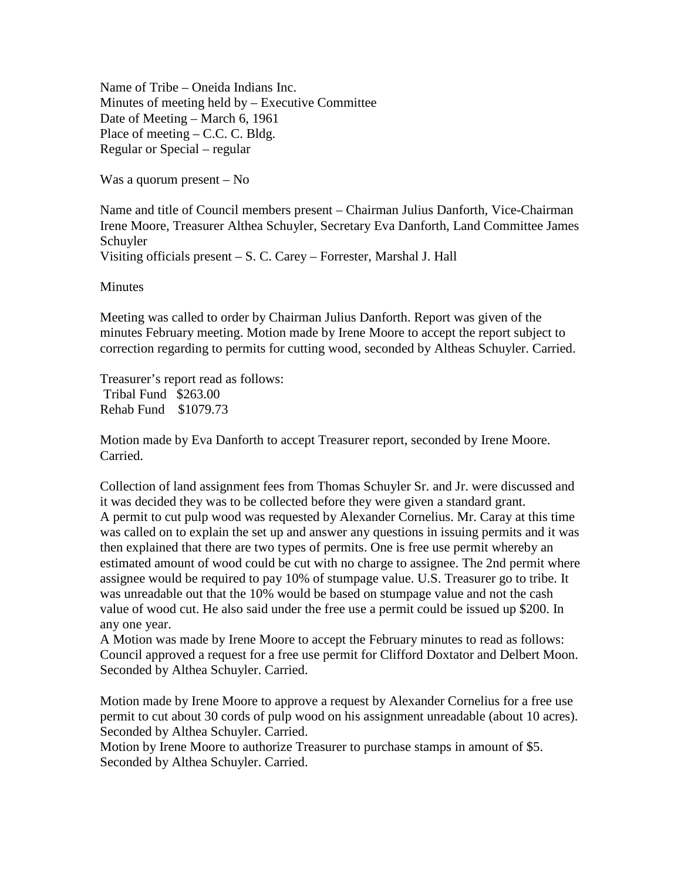Name of Tribe – Oneida Indians Inc. Minutes of meeting held by – Executive Committee Date of Meeting – March 6, 1961 Place of meeting – C.C. C. Bldg. Regular or Special – regular

Was a quorum present – No

Name and title of Council members present – Chairman Julius Danforth, Vice-Chairman Irene Moore, Treasurer Althea Schuyler, Secretary Eva Danforth, Land Committee James Schuyler

Visiting officials present – S. C. Carey – Forrester, Marshal J. Hall

Minutes

Meeting was called to order by Chairman Julius Danforth. Report was given of the minutes February meeting. Motion made by Irene Moore to accept the report subject to correction regarding to permits for cutting wood, seconded by Altheas Schuyler. Carried.

Treasurer's report read as follows: Tribal Fund \$263.00 Rehab Fund \$1079.73

Motion made by Eva Danforth to accept Treasurer report, seconded by Irene Moore. Carried.

Collection of land assignment fees from Thomas Schuyler Sr. and Jr. were discussed and it was decided they was to be collected before they were given a standard grant. A permit to cut pulp wood was requested by Alexander Cornelius. Mr. Caray at this time was called on to explain the set up and answer any questions in issuing permits and it was then explained that there are two types of permits. One is free use permit whereby an estimated amount of wood could be cut with no charge to assignee. The 2nd permit where assignee would be required to pay 10% of stumpage value. U.S. Treasurer go to tribe. It was unreadable out that the 10% would be based on stumpage value and not the cash value of wood cut. He also said under the free use a permit could be issued up \$200. In any one year.

A Motion was made by Irene Moore to accept the February minutes to read as follows: Council approved a request for a free use permit for Clifford Doxtator and Delbert Moon. Seconded by Althea Schuyler. Carried.

Motion made by Irene Moore to approve a request by Alexander Cornelius for a free use permit to cut about 30 cords of pulp wood on his assignment unreadable (about 10 acres). Seconded by Althea Schuyler. Carried.

Motion by Irene Moore to authorize Treasurer to purchase stamps in amount of \$5. Seconded by Althea Schuyler. Carried.